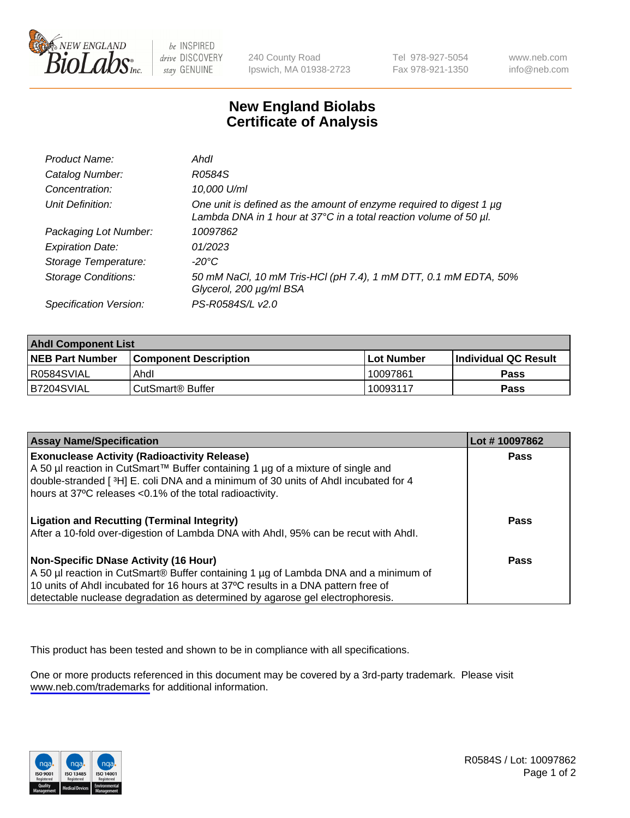

be INSPIRED drive DISCOVERY stay GENUINE

240 County Road Ipswich, MA 01938-2723 Tel 978-927-5054 Fax 978-921-1350

www.neb.com info@neb.com

## **New England Biolabs Certificate of Analysis**

| Product Name:              | Ahdl                                                                                                                                     |
|----------------------------|------------------------------------------------------------------------------------------------------------------------------------------|
| Catalog Number:            | R0584S                                                                                                                                   |
| Concentration:             | 10,000 U/ml                                                                                                                              |
| Unit Definition:           | One unit is defined as the amount of enzyme required to digest 1 µg<br>Lambda DNA in 1 hour at 37°C in a total reaction volume of 50 µl. |
| Packaging Lot Number:      | 10097862                                                                                                                                 |
| <b>Expiration Date:</b>    | 01/2023                                                                                                                                  |
| Storage Temperature:       | -20°C                                                                                                                                    |
| <b>Storage Conditions:</b> | 50 mM NaCl, 10 mM Tris-HCl (pH 7.4), 1 mM DTT, 0.1 mM EDTA, 50%<br>Glycerol, 200 µg/ml BSA                                               |
| Specification Version:     | PS-R0584S/L v2.0                                                                                                                         |

| <b>Ahdl Component List</b> |                              |              |                             |  |
|----------------------------|------------------------------|--------------|-----------------------------|--|
| <b>NEB Part Number</b>     | <b>Component Description</b> | l Lot Number | <b>Individual QC Result</b> |  |
| R0584SVIAL                 | Ahdl                         | 10097861     | Pass                        |  |
| B7204SVIAL                 | l CutSmart® Buffer           | 10093117     | Pass                        |  |

| <b>Assay Name/Specification</b>                                                                                                                | Lot #10097862 |
|------------------------------------------------------------------------------------------------------------------------------------------------|---------------|
| <b>Exonuclease Activity (Radioactivity Release)</b>                                                                                            | Pass          |
| A 50 µl reaction in CutSmart™ Buffer containing 1 µg of a mixture of single and                                                                |               |
| double-stranded [3H] E. coli DNA and a minimum of 30 units of Ahdl incubated for 4<br>hours at 37°C releases <0.1% of the total radioactivity. |               |
|                                                                                                                                                |               |
| <b>Ligation and Recutting (Terminal Integrity)</b>                                                                                             | Pass          |
| After a 10-fold over-digestion of Lambda DNA with Ahdl, 95% can be recut with Ahdl.                                                            |               |
|                                                                                                                                                |               |
| Non-Specific DNase Activity (16 Hour)                                                                                                          | Pass          |
| A 50 µl reaction in CutSmart® Buffer containing 1 µg of Lambda DNA and a minimum of                                                            |               |
| 10 units of Ahdl incubated for 16 hours at 37°C results in a DNA pattern free of                                                               |               |
| detectable nuclease degradation as determined by agarose gel electrophoresis.                                                                  |               |

This product has been tested and shown to be in compliance with all specifications.

One or more products referenced in this document may be covered by a 3rd-party trademark. Please visit <www.neb.com/trademarks>for additional information.